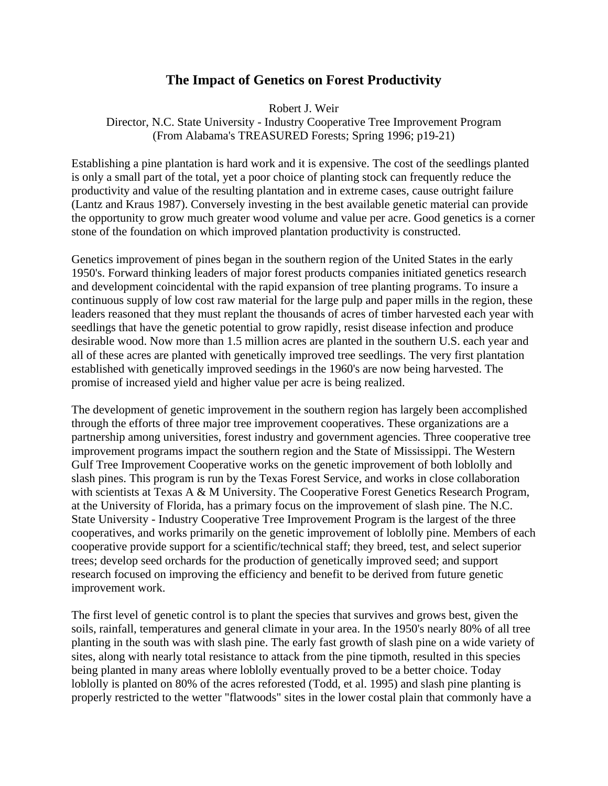## **The Impact of Genetics on Forest Productivity**

Robert J. Weir

Director, N.C. State University - Industry Cooperative Tree Improvement Program (From Alabama's TREASURED Forests; Spring 1996; p19-21)

Establishing a pine plantation is hard work and it is expensive. The cost of the seedlings planted is only a small part of the total, yet a poor choice of planting stock can frequently reduce the productivity and value of the resulting plantation and in extreme cases, cause outright failure (Lantz and Kraus 1987). Conversely investing in the best available genetic material can provide the opportunity to grow much greater wood volume and value per acre. Good genetics is a corner stone of the foundation on which improved plantation productivity is constructed.

Genetics improvement of pines began in the southern region of the United States in the early 1950's. Forward thinking leaders of major forest products companies initiated genetics research and development coincidental with the rapid expansion of tree planting programs. To insure a continuous supply of low cost raw material for the large pulp and paper mills in the region, these leaders reasoned that they must replant the thousands of acres of timber harvested each year with seedlings that have the genetic potential to grow rapidly, resist disease infection and produce desirable wood. Now more than 1.5 million acres are planted in the southern U.S. each year and all of these acres are planted with genetically improved tree seedlings. The very first plantation established with genetically improved seedings in the 1960's are now being harvested. The promise of increased yield and higher value per acre is being realized.

The development of genetic improvement in the southern region has largely been accomplished through the efforts of three major tree improvement cooperatives. These organizations are a partnership among universities, forest industry and government agencies. Three cooperative tree improvement programs impact the southern region and the State of Mississippi. The Western Gulf Tree Improvement Cooperative works on the genetic improvement of both loblolly and slash pines. This program is run by the Texas Forest Service, and works in close collaboration with scientists at Texas A & M University. The Cooperative Forest Genetics Research Program, at the University of Florida, has a primary focus on the improvement of slash pine. The N.C. State University - Industry Cooperative Tree Improvement Program is the largest of the three cooperatives, and works primarily on the genetic improvement of loblolly pine. Members of each cooperative provide support for a scientific/technical staff; they breed, test, and select superior trees; develop seed orchards for the production of genetically improved seed; and support research focused on improving the efficiency and benefit to be derived from future genetic improvement work.

The first level of genetic control is to plant the species that survives and grows best, given the soils, rainfall, temperatures and general climate in your area. In the 1950's nearly 80% of all tree planting in the south was with slash pine. The early fast growth of slash pine on a wide variety of sites, along with nearly total resistance to attack from the pine tipmoth, resulted in this species being planted in many areas where loblolly eventually proved to be a better choice. Today loblolly is planted on 80% of the acres reforested (Todd, et al. 1995) and slash pine planting is properly restricted to the wetter "flatwoods" sites in the lower costal plain that commonly have a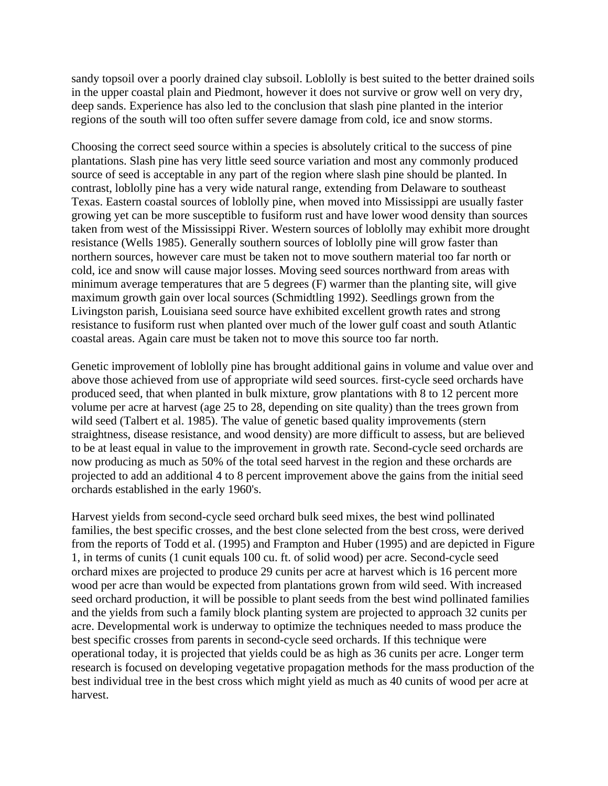sandy topsoil over a poorly drained clay subsoil. Loblolly is best suited to the better drained soils in the upper coastal plain and Piedmont, however it does not survive or grow well on very dry, deep sands. Experience has also led to the conclusion that slash pine planted in the interior regions of the south will too often suffer severe damage from cold, ice and snow storms.

Choosing the correct seed source within a species is absolutely critical to the success of pine plantations. Slash pine has very little seed source variation and most any commonly produced source of seed is acceptable in any part of the region where slash pine should be planted. In contrast, loblolly pine has a very wide natural range, extending from Delaware to southeast Texas. Eastern coastal sources of loblolly pine, when moved into Mississippi are usually faster growing yet can be more susceptible to fusiform rust and have lower wood density than sources taken from west of the Mississippi River. Western sources of loblolly may exhibit more drought resistance (Wells 1985). Generally southern sources of loblolly pine will grow faster than northern sources, however care must be taken not to move southern material too far north or cold, ice and snow will cause major losses. Moving seed sources northward from areas with minimum average temperatures that are 5 degrees (F) warmer than the planting site, will give maximum growth gain over local sources (Schmidtling 1992). Seedlings grown from the Livingston parish, Louisiana seed source have exhibited excellent growth rates and strong resistance to fusiform rust when planted over much of the lower gulf coast and south Atlantic coastal areas. Again care must be taken not to move this source too far north.

Genetic improvement of loblolly pine has brought additional gains in volume and value over and above those achieved from use of appropriate wild seed sources. first-cycle seed orchards have produced seed, that when planted in bulk mixture, grow plantations with 8 to 12 percent more volume per acre at harvest (age 25 to 28, depending on site quality) than the trees grown from wild seed (Talbert et al. 1985). The value of genetic based quality improvements (stern straightness, disease resistance, and wood density) are more difficult to assess, but are believed to be at least equal in value to the improvement in growth rate. Second-cycle seed orchards are now producing as much as 50% of the total seed harvest in the region and these orchards are projected to add an additional 4 to 8 percent improvement above the gains from the initial seed orchards established in the early 1960's.

Harvest yields from second-cycle seed orchard bulk seed mixes, the best wind pollinated families, the best specific crosses, and the best clone selected from the best cross, were derived from the reports of Todd et al. (1995) and Frampton and Huber (1995) and are depicted in Figure 1, in terms of cunits (1 cunit equals 100 cu. ft. of solid wood) per acre. Second-cycle seed orchard mixes are projected to produce 29 cunits per acre at harvest which is 16 percent more wood per acre than would be expected from plantations grown from wild seed. With increased seed orchard production, it will be possible to plant seeds from the best wind pollinated families and the yields from such a family block planting system are projected to approach 32 cunits per acre. Developmental work is underway to optimize the techniques needed to mass produce the best specific crosses from parents in second-cycle seed orchards. If this technique were operational today, it is projected that yields could be as high as 36 cunits per acre. Longer term research is focused on developing vegetative propagation methods for the mass production of the best individual tree in the best cross which might yield as much as 40 cunits of wood per acre at harvest.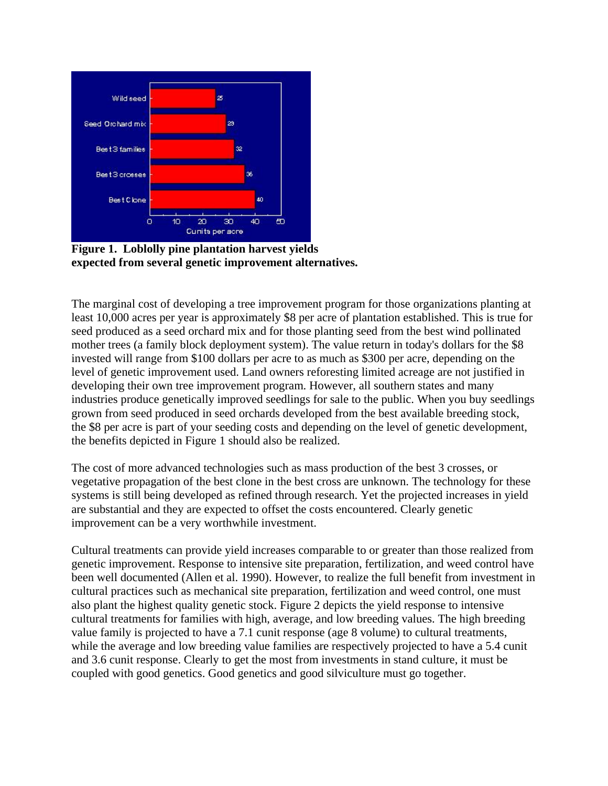

**Figure 1. Loblolly pine plantation harvest yields expected from several genetic improvement alternatives.** 

The marginal cost of developing a tree improvement program for those organizations planting at least 10,000 acres per year is approximately \$8 per acre of plantation established. This is true for seed produced as a seed orchard mix and for those planting seed from the best wind pollinated mother trees (a family block deployment system). The value return in today's dollars for the \$8 invested will range from \$100 dollars per acre to as much as \$300 per acre, depending on the level of genetic improvement used. Land owners reforesting limited acreage are not justified in developing their own tree improvement program. However, all southern states and many industries produce genetically improved seedlings for sale to the public. When you buy seedlings grown from seed produced in seed orchards developed from the best available breeding stock, the \$8 per acre is part of your seeding costs and depending on the level of genetic development, the benefits depicted in Figure 1 should also be realized.

The cost of more advanced technologies such as mass production of the best 3 crosses, or vegetative propagation of the best clone in the best cross are unknown. The technology for these systems is still being developed as refined through research. Yet the projected increases in yield are substantial and they are expected to offset the costs encountered. Clearly genetic improvement can be a very worthwhile investment.

Cultural treatments can provide yield increases comparable to or greater than those realized from genetic improvement. Response to intensive site preparation, fertilization, and weed control have been well documented (Allen et al. 1990). However, to realize the full benefit from investment in cultural practices such as mechanical site preparation, fertilization and weed control, one must also plant the highest quality genetic stock. Figure 2 depicts the yield response to intensive cultural treatments for families with high, average, and low breeding values. The high breeding value family is projected to have a 7.1 cunit response (age 8 volume) to cultural treatments, while the average and low breeding value families are respectively projected to have a 5.4 cunit and 3.6 cunit response. Clearly to get the most from investments in stand culture, it must be coupled with good genetics. Good genetics and good silviculture must go together.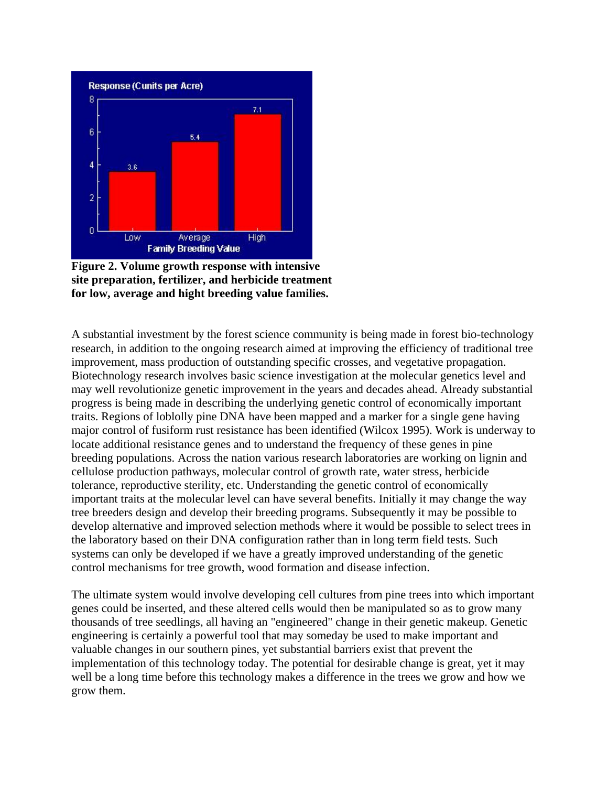

**Figure 2. Volume growth response with intensive site preparation, fertilizer, and herbicide treatment for low, average and hight breeding value families.** 

A substantial investment by the forest science community is being made in forest bio-technology research, in addition to the ongoing research aimed at improving the efficiency of traditional tree improvement, mass production of outstanding specific crosses, and vegetative propagation. Biotechnology research involves basic science investigation at the molecular genetics level and may well revolutionize genetic improvement in the years and decades ahead. Already substantial progress is being made in describing the underlying genetic control of economically important traits. Regions of loblolly pine DNA have been mapped and a marker for a single gene having major control of fusiform rust resistance has been identified (Wilcox 1995). Work is underway to locate additional resistance genes and to understand the frequency of these genes in pine breeding populations. Across the nation various research laboratories are working on lignin and cellulose production pathways, molecular control of growth rate, water stress, herbicide tolerance, reproductive sterility, etc. Understanding the genetic control of economically important traits at the molecular level can have several benefits. Initially it may change the way tree breeders design and develop their breeding programs. Subsequently it may be possible to develop alternative and improved selection methods where it would be possible to select trees in the laboratory based on their DNA configuration rather than in long term field tests. Such systems can only be developed if we have a greatly improved understanding of the genetic control mechanisms for tree growth, wood formation and disease infection.

The ultimate system would involve developing cell cultures from pine trees into which important genes could be inserted, and these altered cells would then be manipulated so as to grow many thousands of tree seedlings, all having an "engineered" change in their genetic makeup. Genetic engineering is certainly a powerful tool that may someday be used to make important and valuable changes in our southern pines, yet substantial barriers exist that prevent the implementation of this technology today. The potential for desirable change is great, yet it may well be a long time before this technology makes a difference in the trees we grow and how we grow them.